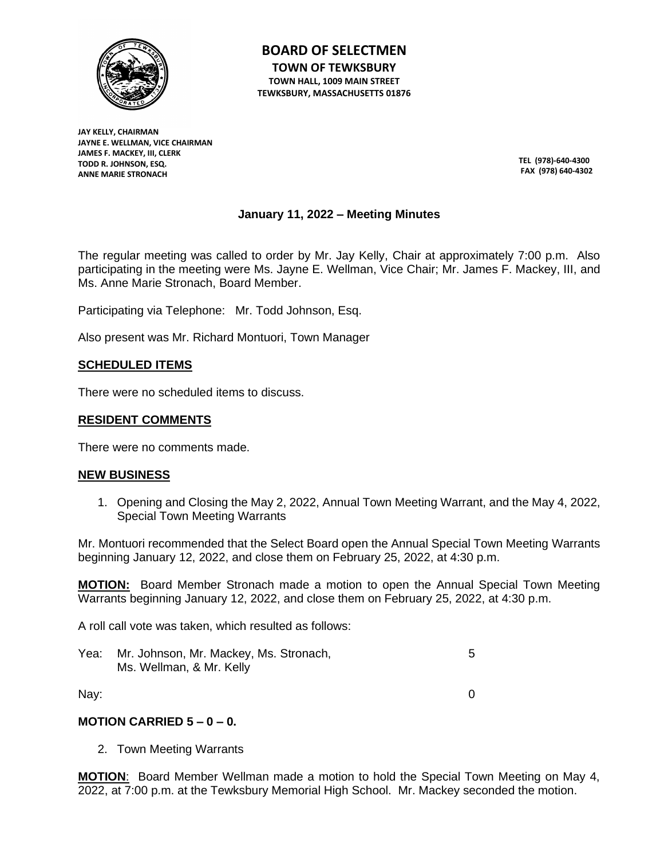

**BOARD OF SELECTMEN TOWN OF TEWKSBURY TOWN HALL, 1009 MAIN STREET TEWKSBURY, MASSACHUSETTS 01876**

**JAY KELLY, CHAIRMAN JAYNE E. WELLMAN, VICE CHAIRMAN JAMES F. MACKEY, III, CLERK TODD R. JOHNSON, ESQ. ANNE MARIE STRONACH**

**TEL (978)-640-4300 FAX (978) 640-4302**

# **January 11, 2022 – Meeting Minutes**

The regular meeting was called to order by Mr. Jay Kelly, Chair at approximately 7:00 p.m. Also participating in the meeting were Ms. Jayne E. Wellman, Vice Chair; Mr. James F. Mackey, III, and Ms. Anne Marie Stronach, Board Member.

Participating via Telephone: Mr. Todd Johnson, Esq.

Also present was Mr. Richard Montuori, Town Manager

## **SCHEDULED ITEMS**

There were no scheduled items to discuss.

## **RESIDENT COMMENTS**

There were no comments made.

### **NEW BUSINESS**

1. Opening and Closing the May 2, 2022, Annual Town Meeting Warrant, and the May 4, 2022, Special Town Meeting Warrants

Mr. Montuori recommended that the Select Board open the Annual Special Town Meeting Warrants beginning January 12, 2022, and close them on February 25, 2022, at 4:30 p.m.

**MOTION:** Board Member Stronach made a motion to open the Annual Special Town Meeting Warrants beginning January 12, 2022, and close them on February 25, 2022, at 4:30 p.m.

A roll call vote was taken, which resulted as follows:

| Yea: Mr. Johnson, Mr. Mackey, Ms. Stronach, |  |
|---------------------------------------------|--|
| Ms. Wellman, & Mr. Kelly                    |  |

Nay: 0

# **MOTION CARRIED 5 – 0 – 0.**

2. Town Meeting Warrants

**MOTION**: Board Member Wellman made a motion to hold the Special Town Meeting on May 4, 2022, at 7:00 p.m. at the Tewksbury Memorial High School. Mr. Mackey seconded the motion.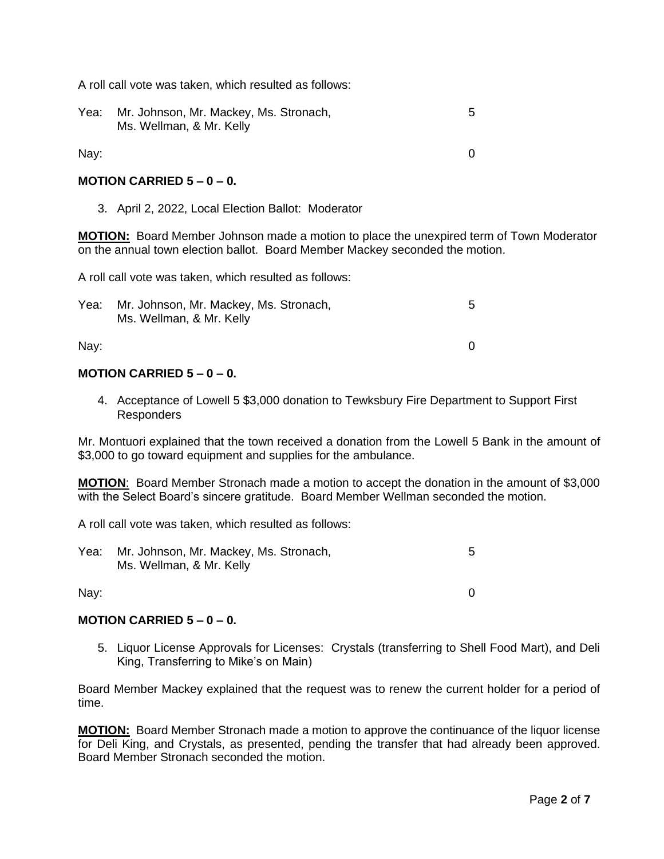A roll call vote was taken, which resulted as follows:

| Yea: Mr. Johnson, Mr. Mackey, Ms. Stronach, |  |
|---------------------------------------------|--|
| Ms. Wellman, & Mr. Kelly                    |  |

Nay: 0

### **MOTION CARRIED 5 – 0 – 0.**

3. April 2, 2022, Local Election Ballot: Moderator

**MOTION:** Board Member Johnson made a motion to place the unexpired term of Town Moderator on the annual town election ballot. Board Member Mackey seconded the motion.

A roll call vote was taken, which resulted as follows:

| Yea: | Mr. Johnson, Mr. Mackey, Ms. Stronach,<br>Ms. Wellman, & Mr. Kelly | 5. |
|------|--------------------------------------------------------------------|----|
| Nay: |                                                                    |    |

### **MOTION CARRIED 5 – 0 – 0.**

4. Acceptance of Lowell 5 \$3,000 donation to Tewksbury Fire Department to Support First Responders

Mr. Montuori explained that the town received a donation from the Lowell 5 Bank in the amount of \$3,000 to go toward equipment and supplies for the ambulance.

**MOTION**: Board Member Stronach made a motion to accept the donation in the amount of \$3,000 with the Select Board's sincere gratitude. Board Member Wellman seconded the motion.

A roll call vote was taken, which resulted as follows:

| Yea: Mr. Johnson, Mr. Mackey, Ms. Stronach, |  |
|---------------------------------------------|--|
| Ms. Wellman, & Mr. Kelly                    |  |

Nay: 0

### **MOTION CARRIED 5 – 0 – 0.**

5. Liquor License Approvals for Licenses: Crystals (transferring to Shell Food Mart), and Deli King, Transferring to Mike's on Main)

Board Member Mackey explained that the request was to renew the current holder for a period of time.

**MOTION:** Board Member Stronach made a motion to approve the continuance of the liquor license for Deli King, and Crystals, as presented, pending the transfer that had already been approved. Board Member Stronach seconded the motion.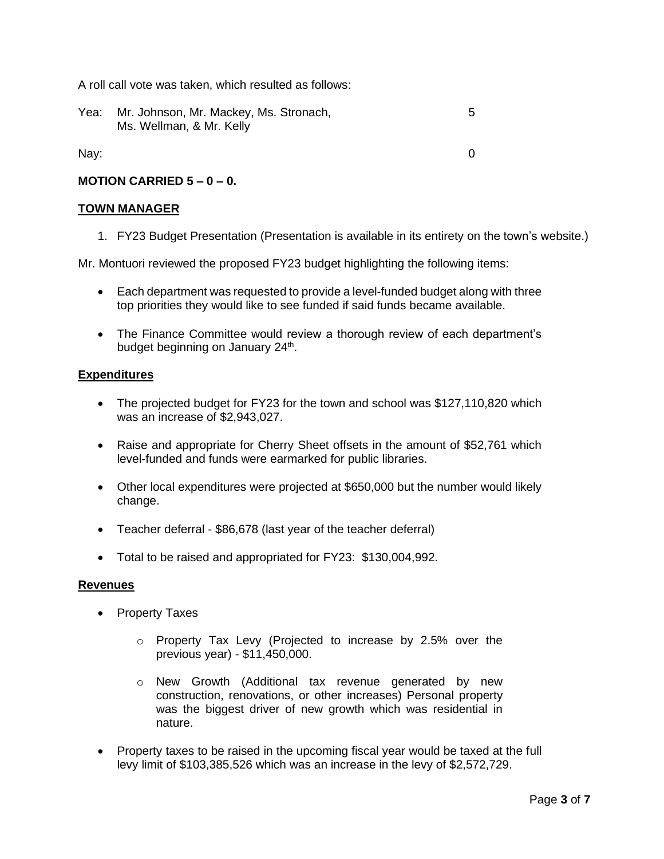A roll call vote was taken, which resulted as follows:

| Yea: Mr. Johnson, Mr. Mackey, Ms. Stronach, |  |
|---------------------------------------------|--|
| Ms. Wellman, & Mr. Kelly                    |  |

Nay: 0

# **MOTION CARRIED 5 – 0 – 0.**

## **TOWN MANAGER**

1. FY23 Budget Presentation (Presentation is available in its entirety on the town's website.)

Mr. Montuori reviewed the proposed FY23 budget highlighting the following items:

- Each department was requested to provide a level-funded budget along with three top priorities they would like to see funded if said funds became available.
- The Finance Committee would review a thorough review of each department's budget beginning on January 24<sup>th</sup>.

### **Expenditures**

- The projected budget for FY23 for the town and school was \$127,110,820 which was an increase of \$2,943,027.
- Raise and appropriate for Cherry Sheet offsets in the amount of \$52,761 which level-funded and funds were earmarked for public libraries.
- Other local expenditures were projected at \$650,000 but the number would likely change.
- Teacher deferral \$86,678 (last year of the teacher deferral)
- Total to be raised and appropriated for FY23: \$130,004,992.

### **Revenues**

- Property Taxes
	- o Property Tax Levy (Projected to increase by 2.5% over the previous year) - \$11,450,000.
	- o New Growth (Additional tax revenue generated by new construction, renovations, or other increases) Personal property was the biggest driver of new growth which was residential in nature.
- Property taxes to be raised in the upcoming fiscal year would be taxed at the full levy limit of \$103,385,526 which was an increase in the levy of \$2,572,729.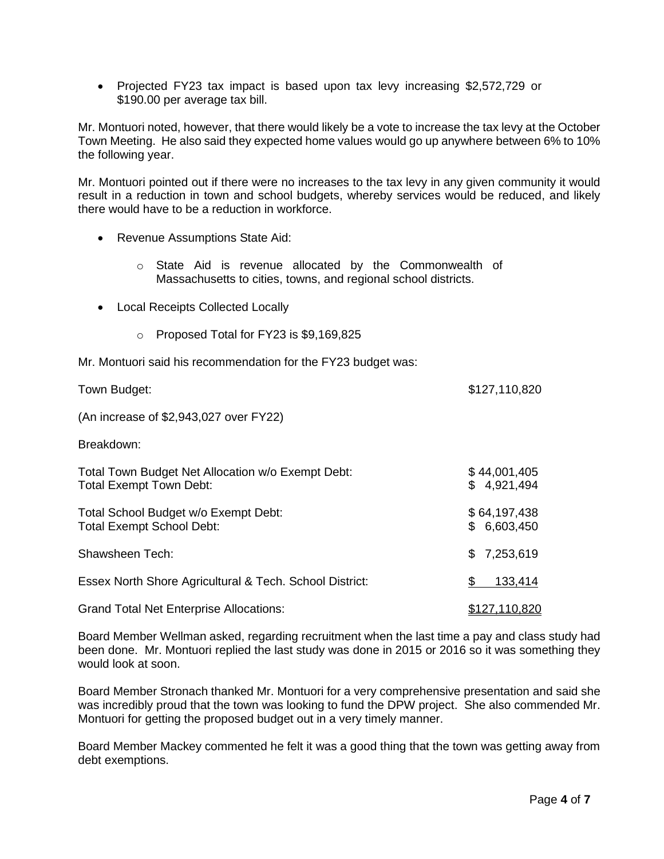• Projected FY23 tax impact is based upon tax levy increasing \$2,572,729 or \$190.00 per average tax bill.

Mr. Montuori noted, however, that there would likely be a vote to increase the tax levy at the October Town Meeting. He also said they expected home values would go up anywhere between 6% to 10% the following year.

Mr. Montuori pointed out if there were no increases to the tax levy in any given community it would result in a reduction in town and school budgets, whereby services would be reduced, and likely there would have to be a reduction in workforce.

- Revenue Assumptions State Aid:
	- o State Aid is revenue allocated by the Commonwealth of Massachusetts to cities, towns, and regional school districts.
- Local Receipts Collected Locally
	- o Proposed Total for FY23 is \$9,169,825

Mr. Montuori said his recommendation for the FY23 budget was:

| Town Budget:                                                                        | \$127,110,820                   |
|-------------------------------------------------------------------------------------|---------------------------------|
| (An increase of \$2,943,027 over FY22)                                              |                                 |
| Breakdown:                                                                          |                                 |
| Total Town Budget Net Allocation w/o Exempt Debt:<br><b>Total Exempt Town Debt:</b> | \$44,001,405<br>\$4,921,494     |
| Total School Budget w/o Exempt Debt:<br><b>Total Exempt School Debt:</b>            | \$64,197,438<br>£.<br>6,603,450 |
| Shawsheen Tech:                                                                     | 7,253,619<br>\$.                |
| Essex North Shore Agricultural & Tech. School District:                             | 133,414<br>\$                   |
| <b>Grand Total Net Enterprise Allocations:</b>                                      | <u>\$127,110,820</u>            |

Board Member Wellman asked, regarding recruitment when the last time a pay and class study had been done. Mr. Montuori replied the last study was done in 2015 or 2016 so it was something they would look at soon.

Board Member Stronach thanked Mr. Montuori for a very comprehensive presentation and said she was incredibly proud that the town was looking to fund the DPW project. She also commended Mr. Montuori for getting the proposed budget out in a very timely manner.

Board Member Mackey commented he felt it was a good thing that the town was getting away from debt exemptions.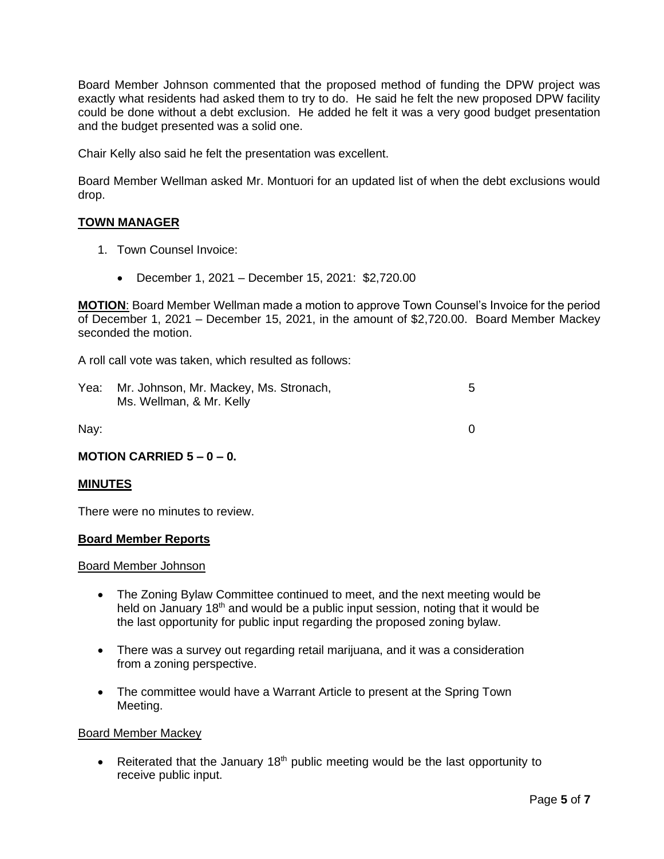Board Member Johnson commented that the proposed method of funding the DPW project was exactly what residents had asked them to try to do. He said he felt the new proposed DPW facility could be done without a debt exclusion. He added he felt it was a very good budget presentation and the budget presented was a solid one.

Chair Kelly also said he felt the presentation was excellent.

Board Member Wellman asked Mr. Montuori for an updated list of when the debt exclusions would drop.

## **TOWN MANAGER**

- 1. Town Counsel Invoice:
	- December 1, 2021 December 15, 2021: \$2,720.00

**MOTION**: Board Member Wellman made a motion to approve Town Counsel's Invoice for the period of December 1, 2021 – December 15, 2021, in the amount of \$2,720.00. Board Member Mackey seconded the motion.

A roll call vote was taken, which resulted as follows:

| Yea: | Mr. Johnson, Mr. Mackey, Ms. Stronach, |  |
|------|----------------------------------------|--|
|      | Ms. Wellman, & Mr. Kelly               |  |
|      |                                        |  |

Nay: 0

# **MOTION CARRIED 5 – 0 – 0.**

### **MINUTES**

There were no minutes to review.

#### **Board Member Reports**

#### Board Member Johnson

- The Zoning Bylaw Committee continued to meet, and the next meeting would be held on January 18<sup>th</sup> and would be a public input session, noting that it would be the last opportunity for public input regarding the proposed zoning bylaw.
- There was a survey out regarding retail marijuana, and it was a consideration from a zoning perspective.
- The committee would have a Warrant Article to present at the Spring Town Meeting.

#### Board Member Mackey

• Reiterated that the January  $18<sup>th</sup>$  public meeting would be the last opportunity to receive public input.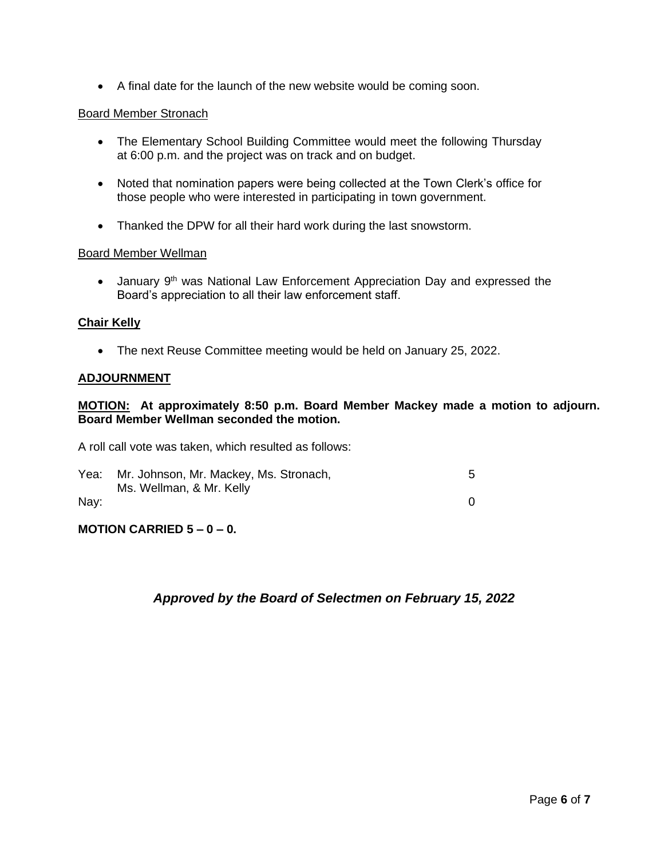• A final date for the launch of the new website would be coming soon.

### Board Member Stronach

- The Elementary School Building Committee would meet the following Thursday at 6:00 p.m. and the project was on track and on budget.
- Noted that nomination papers were being collected at the Town Clerk's office for those people who were interested in participating in town government.
- Thanked the DPW for all their hard work during the last snowstorm.

#### Board Member Wellman

• January 9<sup>th</sup> was National Law Enforcement Appreciation Day and expressed the Board's appreciation to all their law enforcement staff.

#### **Chair Kelly**

• The next Reuse Committee meeting would be held on January 25, 2022.

#### **ADJOURNMENT**

## **MOTION: At approximately 8:50 p.m. Board Member Mackey made a motion to adjourn. Board Member Wellman seconded the motion.**

A roll call vote was taken, which resulted as follows:

| Yea: | Mr. Johnson, Mr. Mackey, Ms. Stronach, |  |
|------|----------------------------------------|--|
|      | Ms. Wellman, & Mr. Kelly               |  |
| Nay: |                                        |  |

### **MOTION CARRIED 5 – 0 – 0.**

# *Approved by the Board of Selectmen on February 15, 2022*